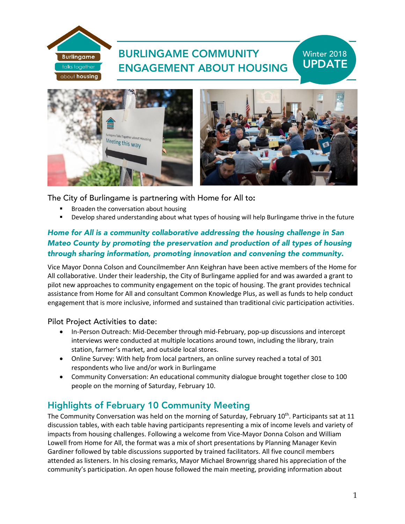# BURLINGAME COMMUNITY ENGAGEMENT ABOUT HOUSING

# Winter 2018 UPDATE



The City of Burlingame is partnering with Home for All to:

Broaden the conversation about housing

**Burlingame** talks together about housing

Develop shared understanding about what types of housing will help Burlingame thrive in the future

### *Home for All is a community collaborative addressing the housing challenge in San Mateo County by promoting the preservation and production of all types of housing through sharing information, promoting innovation and convening the community.*

Vice Mayor Donna Colson and Councilmember Ann Keighran have been active members of the Home for All collaborative. Under their leadership, the City of Burlingame applied for and was awarded a grant to pilot new approaches to community engagement on the topic of housing. The grant provides technical assistance from Home for All and consultant Common Knowledge Plus, as well as funds to help conduct engagement that is more inclusive, informed and sustained than traditional civic participation activities.

Pilot Project Activities to date:

- In-Person Outreach: Mid-December through mid-February, pop-up discussions and intercept interviews were conducted at multiple locations around town, including the library, train station, farmer's market, and outside local stores.
- Online Survey: With help from local partners, an online survey reached a total of 301 respondents who live and/or work in Burlingame
- Community Conversation: An educational community dialogue brought together close to 100 people on the morning of Saturday, February 10.

## Highlights of February 10 Community Meeting

The Community Conversation was held on the morning of Saturday, February 10<sup>th</sup>. Participants sat at 11 discussion tables, with each table having participants representing a mix of income levels and variety of impacts from housing challenges. Following a welcome from Vice-Mayor Donna Colson and William Lowell from Home for All, the format was a mix of short presentations by Planning Manager Kevin Gardiner followed by table discussions supported by trained facilitators. All five council members attended as listeners. In his closing remarks, Mayor Michael Brownrigg shared his appreciation of the community's participation. An open house followed the main meeting, providing information about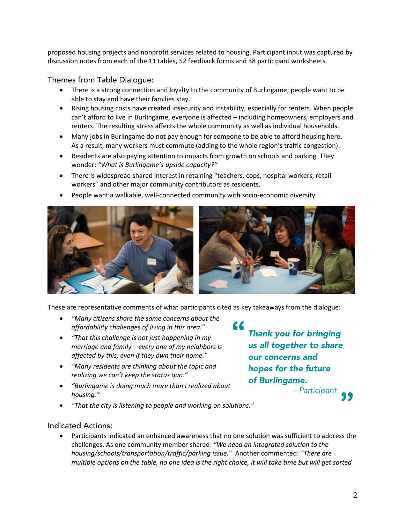proposed housing projects and nonprofit services related to housing. Participant input was captured by discussion notes from each of the 11 tables, 52 feedback forms and 38 participant worksheets.

Themes from Table Dialogue:

- There is a strong connection and loyalty to the community of Burlingame; people want to be able to stay and have their families stay.
- Rising housing costs have created insecurity and instability, especially for renters. When people can't afford to live in Burlingame, everyone is affected – including homeowners, employers and renters. The resulting stress affects the whole community as well as individual households.
- Many jobs in Burlingame do not pay enough for someone to be able to afford housing here. As a result, many workers must commute (adding to the whole region's traffic congestion).
- Residents are also paying attention to impacts from growth on schools and parking. They wonder: *"What is Burlingame's upside capacity?"*
- There is widespread shared interest in retaining "teachers, cops, hospital workers, retail workers" and other major community contributors as residents.
- People want a walkable, well-connected community with socio-economic diversity.



These are representative comments of what participants cited as key takeaways from the dialogue:

**"**

- *"Many citizens share the same concerns about the affordability challenges of living in this area."*
- *"That this challenge is not just happening in my marriage and family – every one of my neighbors is affected by this, even if they own their home."*
- *"Many residents are thinking about the topic and realizing we can't keep the status quo."*
- *"Burlingame is doing much more than I realized about housing."*
- *"That the city is listening to people and working on solutions."*

*Thank you for bringing us all together to share our concerns and hopes for the future of Burlingame.* **"** *– Participant*

#### Indicated Actions:

• Participants indicated an enhanced awareness that no one solution was sufficient to address the challenges. As one community member shared: *"We need an integrated solution to the housing/schools/transportation/traffic/parking issue."* Another commented: *"There are multiple options on the table, no one idea is the right choice, it will take time but will get sorted*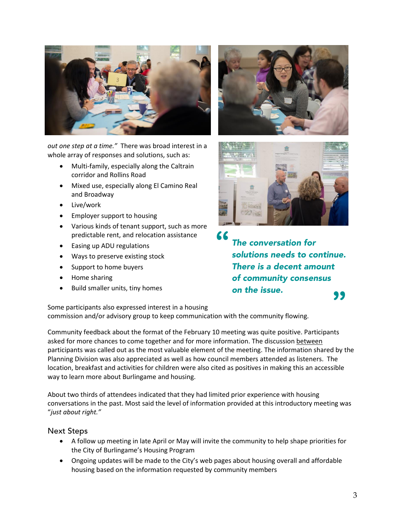

*out one step at a time."* There was broad interest in a whole array of responses and solutions, such as:

- Multi-family, especially along the Caltrain corridor and Rollins Road
- Mixed use, especially along El Camino Real and Broadway
- Live/work
- Employer support to housing
- Various kinds of tenant support, such as more predictable rent, and relocation assistance
- Easing up ADU regulations
- Ways to preserve existing stock
- Support to home buyers
- Home sharing
- Build smaller units, tiny homes





*The conversation for solutions needs to continue. There is a decent amount of community consensus on the issue.* **"**

Some participants also expressed interest in a housing commission and/or advisory group to keep communication with the community flowing.

Community feedback about the format of the February 10 meeting was quite positive. Participants asked for more chances to come together and for more information. The discussion between participants was called out as the most valuable element of the meeting. The information shared by the Planning Division was also appreciated as well as how council members attended as listeners. The location, breakfast and activities for children were also cited as positives in making this an accessible way to learn more about Burlingame and housing.

**"**

About two thirds of attendees indicated that they had limited prior experience with housing conversations in the past. Most said the level of information provided at this introductory meeting was "*just about right."* 

#### Next Steps

- A follow up meeting in late April or May will invite the community to help shape priorities for the City of Burlingame's Housing Program
- Ongoing updates will be made to the City's web pages about housing overall and affordable housing based on the information requested by community members